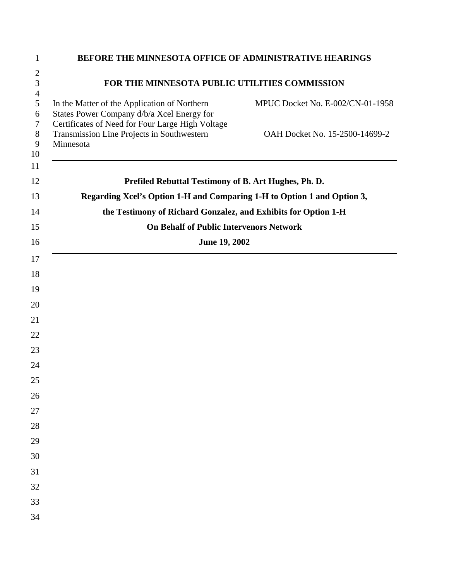| $\mathbf{1}$        | BEFORE THE MINNESOTA OFFICE OF ADMINISTRATIVE HEARINGS                                                                                                                             |
|---------------------|------------------------------------------------------------------------------------------------------------------------------------------------------------------------------------|
| $\mathfrak{2}$      |                                                                                                                                                                                    |
| 3<br>$\overline{4}$ | FOR THE MINNESOTA PUBLIC UTILITIES COMMISSION                                                                                                                                      |
| 5<br>6<br>7         | In the Matter of the Application of Northern<br>MPUC Docket No. E-002/CN-01-1958<br>States Power Company d/b/a Xcel Energy for<br>Certificates of Need for Four Large High Voltage |
| $8\,$<br>9<br>10    | Transmission Line Projects in Southwestern<br>OAH Docket No. 15-2500-14699-2<br>Minnesota                                                                                          |
| 11<br>12            | Prefiled Rebuttal Testimony of B. Art Hughes, Ph. D.                                                                                                                               |
| 13                  | Regarding Xcel's Option 1-H and Comparing 1-H to Option 1 and Option 3,                                                                                                            |
| 14                  | the Testimony of Richard Gonzalez, and Exhibits for Option 1-H                                                                                                                     |
| 15                  | <b>On Behalf of Public Intervenors Network</b>                                                                                                                                     |
| 16                  | <b>June 19, 2002</b>                                                                                                                                                               |
| 17                  |                                                                                                                                                                                    |
| 18                  |                                                                                                                                                                                    |
| 19                  |                                                                                                                                                                                    |
| 20                  |                                                                                                                                                                                    |
| 21                  |                                                                                                                                                                                    |
| 22                  |                                                                                                                                                                                    |
| 23                  |                                                                                                                                                                                    |
| 24                  |                                                                                                                                                                                    |
| 25                  |                                                                                                                                                                                    |
| 26                  |                                                                                                                                                                                    |
| 27                  |                                                                                                                                                                                    |
| 28                  |                                                                                                                                                                                    |
| 29                  |                                                                                                                                                                                    |
| 30                  |                                                                                                                                                                                    |
| 31                  |                                                                                                                                                                                    |
| 32                  |                                                                                                                                                                                    |
| 33                  |                                                                                                                                                                                    |
| 34                  |                                                                                                                                                                                    |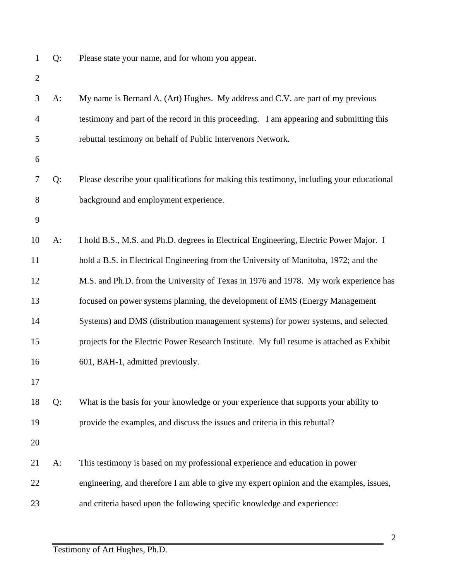Q: Please state your name, and for whom you appear.

| 3              | $A$ : | My name is Bernard A. (Art) Hughes. My address and C.V. are part of my previous           |
|----------------|-------|-------------------------------------------------------------------------------------------|
| $\overline{4}$ |       | testimony and part of the record in this proceeding. I am appearing and submitting this   |
| 5              |       | rebuttal testimony on behalf of Public Intervenors Network.                               |
| 6              |       |                                                                                           |
| 7              | Q:    | Please describe your qualifications for making this testimony, including your educational |
| 8              |       | background and employment experience.                                                     |
| 9              |       |                                                                                           |
| 10             | $A$ : | I hold B.S., M.S. and Ph.D. degrees in Electrical Engineering, Electric Power Major. I    |
| 11             |       | hold a B.S. in Electrical Engineering from the University of Manitoba, 1972; and the      |
| 12             |       | M.S. and Ph.D. from the University of Texas in 1976 and 1978. My work experience has      |
| 13             |       | focused on power systems planning, the development of EMS (Energy Management              |
| 14             |       | Systems) and DMS (distribution management systems) for power systems, and selected        |
| 15             |       | projects for the Electric Power Research Institute. My full resume is attached as Exhibit |
| 16             |       | 601, BAH-1, admitted previously.                                                          |
| 17             |       |                                                                                           |
| 18             | Q:    | What is the basis for your knowledge or your experience that supports your ability to     |
| 19             |       | provide the examples, and discuss the issues and criteria in this rebuttal?               |
| 20             |       |                                                                                           |
| 21             | $A$ : | This testimony is based on my professional experience and education in power              |
| 22             |       | engineering, and therefore I am able to give my expert opinion and the examples, issues,  |
| 23             |       | and criteria based upon the following specific knowledge and experience:                  |
|                |       |                                                                                           |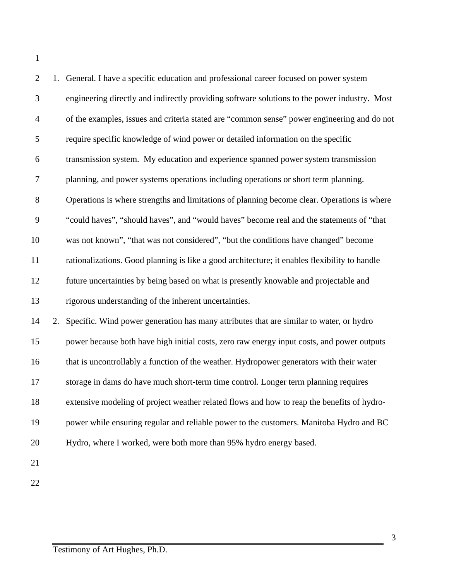| $\overline{2}$   | 1. General. I have a specific education and professional career focused on power system       |
|------------------|-----------------------------------------------------------------------------------------------|
| 3                | engineering directly and indirectly providing software solutions to the power industry. Most  |
| $\overline{4}$   | of the examples, issues and criteria stated are "common sense" power engineering and do not   |
| $\sqrt{5}$       | require specific knowledge of wind power or detailed information on the specific              |
| $\boldsymbol{6}$ | transmission system. My education and experience spanned power system transmission            |
| $\tau$           | planning, and power systems operations including operations or short term planning.           |
| 8                | Operations is where strengths and limitations of planning become clear. Operations is where   |
| $\mathbf{9}$     | "could haves", "should haves", and "would haves" become real and the statements of "that      |
| 10               | was not known", "that was not considered", "but the conditions have changed" become           |
| 11               | rationalizations. Good planning is like a good architecture; it enables flexibility to handle |
| 12               | future uncertainties by being based on what is presently knowable and projectable and         |
| 13               | rigorous understanding of the inherent uncertainties.                                         |
| 14               | 2. Specific. Wind power generation has many attributes that are similar to water, or hydro    |
| 15               | power because both have high initial costs, zero raw energy input costs, and power outputs    |
| 16               | that is uncontrollably a function of the weather. Hydropower generators with their water      |
| 17               | storage in dams do have much short-term time control. Longer term planning requires           |
| 18               | extensive modeling of project weather related flows and how to reap the benefits of hydro-    |
| 19               | power while ensuring regular and reliable power to the customers. Manitoba Hydro and BC       |
| 20               | Hydro, where I worked, were both more than 95% hydro energy based.                            |
| 21               |                                                                                               |
| 22               |                                                                                               |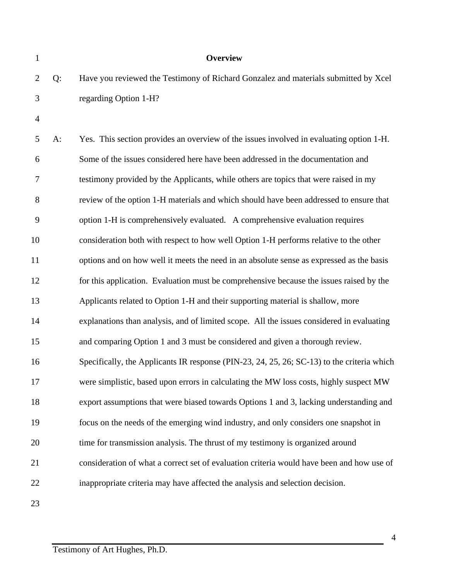| $\mathbf{1}$   |       | <b>Overview</b>                                                                            |
|----------------|-------|--------------------------------------------------------------------------------------------|
| $\overline{2}$ | Q:    | Have you reviewed the Testimony of Richard Gonzalez and materials submitted by Xcel        |
| 3              |       | regarding Option 1-H?                                                                      |
| $\overline{4}$ |       |                                                                                            |
| 5              | $A$ : | Yes. This section provides an overview of the issues involved in evaluating option 1-H.    |
| 6              |       | Some of the issues considered here have been addressed in the documentation and            |
| 7              |       | testimony provided by the Applicants, while others are topics that were raised in my       |
| 8              |       | review of the option 1-H materials and which should have been addressed to ensure that     |
| 9              |       | option 1-H is comprehensively evaluated. A comprehensive evaluation requires               |
| 10             |       | consideration both with respect to how well Option 1-H performs relative to the other      |
| 11             |       | options and on how well it meets the need in an absolute sense as expressed as the basis   |
| 12             |       | for this application. Evaluation must be comprehensive because the issues raised by the    |
| 13             |       | Applicants related to Option 1-H and their supporting material is shallow, more            |
| 14             |       | explanations than analysis, and of limited scope. All the issues considered in evaluating  |
| 15             |       | and comparing Option 1 and 3 must be considered and given a thorough review.               |
| 16             |       | Specifically, the Applicants IR response (PIN-23, 24, 25, 26; SC-13) to the criteria which |
| 17             |       | were simplistic, based upon errors in calculating the MW loss costs, highly suspect MW     |
| 18             |       | export assumptions that were biased towards Options 1 and 3, lacking understanding and     |
| 19             |       | focus on the needs of the emerging wind industry, and only considers one snapshot in       |
| 20             |       | time for transmission analysis. The thrust of my testimony is organized around             |
| 21             |       | consideration of what a correct set of evaluation criteria would have been and how use of  |
| 22             |       | inappropriate criteria may have affected the analysis and selection decision.              |
| 23             |       |                                                                                            |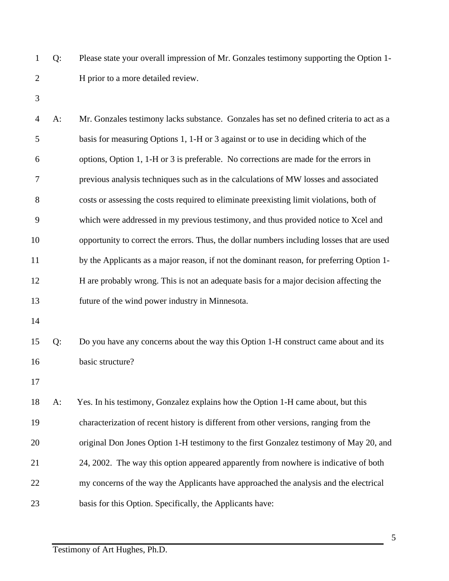- Q: Please state your overall impression of Mr. Gonzales testimony supporting the Option 1- H prior to a more detailed review.
- 

 A: Mr. Gonzales testimony lacks substance. Gonzales has set no defined criteria to act as a basis for measuring Options 1, 1-H or 3 against or to use in deciding which of the options, Option 1, 1-H or 3 is preferable. No corrections are made for the errors in previous analysis techniques such as in the calculations of MW losses and associated costs or assessing the costs required to eliminate preexisting limit violations, both of which were addressed in my previous testimony, and thus provided notice to Xcel and opportunity to correct the errors. Thus, the dollar numbers including losses that are used by the Applicants as a major reason, if not the dominant reason, for preferring Option 1- H are probably wrong. This is not an adequate basis for a major decision affecting the future of the wind power industry in Minnesota. Q: Do you have any concerns about the way this Option 1-H construct came about and its basic structure? 

 A: Yes. In his testimony, Gonzalez explains how the Option 1-H came about, but this characterization of recent history is different from other versions, ranging from the original Don Jones Option 1-H testimony to the first Gonzalez testimony of May 20, and 24, 2002. The way this option appeared apparently from nowhere is indicative of both my concerns of the way the Applicants have approached the analysis and the electrical basis for this Option. Specifically, the Applicants have: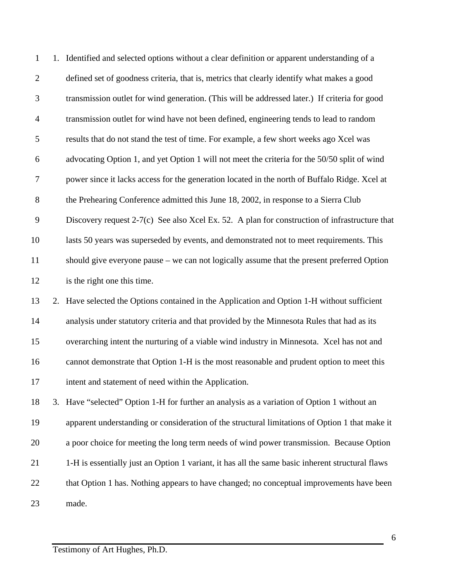| $\mathbf{1}$     | 1. Identified and selected options without a clear definition or apparent understanding of a     |
|------------------|--------------------------------------------------------------------------------------------------|
| $\sqrt{2}$       | defined set of goodness criteria, that is, metrics that clearly identify what makes a good       |
| $\mathfrak{Z}$   | transmission outlet for wind generation. (This will be addressed later.) If criteria for good    |
| $\overline{4}$   | transmission outlet for wind have not been defined, engineering tends to lead to random          |
| $\mathfrak{S}$   | results that do not stand the test of time. For example, a few short weeks ago Xcel was          |
| 6                | advocating Option 1, and yet Option 1 will not meet the criteria for the 50/50 split of wind     |
| $\boldsymbol{7}$ | power since it lacks access for the generation located in the north of Buffalo Ridge. Xcel at    |
| $8\,$            | the Prehearing Conference admitted this June 18, 2002, in response to a Sierra Club              |
| $\overline{9}$   | Discovery request 2-7(c) See also Xcel Ex. 52. A plan for construction of infrastructure that    |
| 10               | lasts 50 years was superseded by events, and demonstrated not to meet requirements. This         |
| 11               | should give everyone pause – we can not logically assume that the present preferred Option       |
| 12               | is the right one this time.                                                                      |
| 13               | 2. Have selected the Options contained in the Application and Option 1-H without sufficient      |
| 14               | analysis under statutory criteria and that provided by the Minnesota Rules that had as its       |
| 15               | overarching intent the nurturing of a viable wind industry in Minnesota. Xcel has not and        |
| 16               | cannot demonstrate that Option 1-H is the most reasonable and prudent option to meet this        |
| 17               | intent and statement of need within the Application.                                             |
| 18               | 3. Have "selected" Option 1-H for further an analysis as a variation of Option 1 without an      |
| 19               | apparent understanding or consideration of the structural limitations of Option 1 that make it   |
| 20               | a poor choice for meeting the long term needs of wind power transmission. Because Option         |
| 21               | 1-H is essentially just an Option 1 variant, it has all the same basic inherent structural flaws |
| 22               | that Option 1 has. Nothing appears to have changed; no conceptual improvements have been         |
| 23               | made.                                                                                            |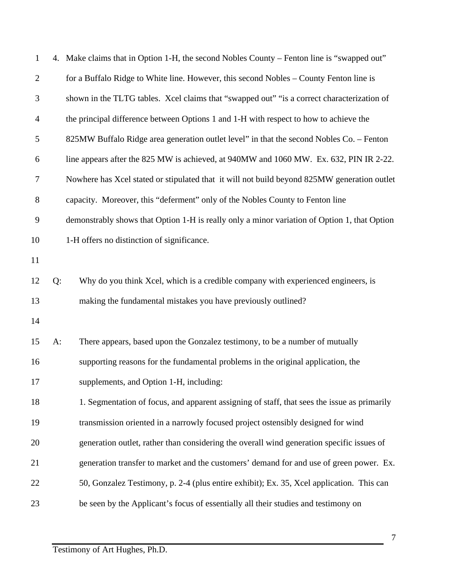| $\mathbf{1}$   |       | 4. Make claims that in Option 1-H, the second Nobles County – Fenton line is "swapped out"   |
|----------------|-------|----------------------------------------------------------------------------------------------|
| $\overline{2}$ |       | for a Buffalo Ridge to White line. However, this second Nobles - County Fenton line is       |
| 3              |       | shown in the TLTG tables. Xcel claims that "swapped out" "is a correct characterization of   |
| $\overline{4}$ |       | the principal difference between Options 1 and 1-H with respect to how to achieve the        |
| 5              |       | 825MW Buffalo Ridge area generation outlet level" in that the second Nobles Co. - Fenton     |
| 6              |       | line appears after the 825 MW is achieved, at 940MW and 1060 MW. Ex. 632, PIN IR 2-22.       |
| $\tau$         |       | Nowhere has Xcel stated or stipulated that it will not build beyond 825MW generation outlet  |
| $8\phantom{.}$ |       | capacity. Moreover, this "deferment" only of the Nobles County to Fenton line                |
| $\mathbf{9}$   |       | demonstrably shows that Option 1-H is really only a minor variation of Option 1, that Option |
| 10             |       | 1-H offers no distinction of significance.                                                   |
| 11             |       |                                                                                              |
| 12             | Q:    | Why do you think Xcel, which is a credible company with experienced engineers, is            |
| 13             |       | making the fundamental mistakes you have previously outlined?                                |
| 14             |       |                                                                                              |
| 15             | $A$ : | There appears, based upon the Gonzalez testimony, to be a number of mutually                 |
| 16             |       | supporting reasons for the fundamental problems in the original application, the             |
| 17             |       | supplements, and Option 1-H, including:                                                      |
| 18             |       | 1. Segmentation of focus, and apparent assigning of staff, that sees the issue as primarily  |
| 19             |       | transmission oriented in a narrowly focused project ostensibly designed for wind             |
| 20             |       | generation outlet, rather than considering the overall wind generation specific issues of    |
| 21             |       | generation transfer to market and the customers' demand for and use of green power. Ex.      |
| 22             |       | 50, Gonzalez Testimony, p. 2-4 (plus entire exhibit); Ex. 35, Xcel application. This can     |
| 23             |       | be seen by the Applicant's focus of essentially all their studies and testimony on           |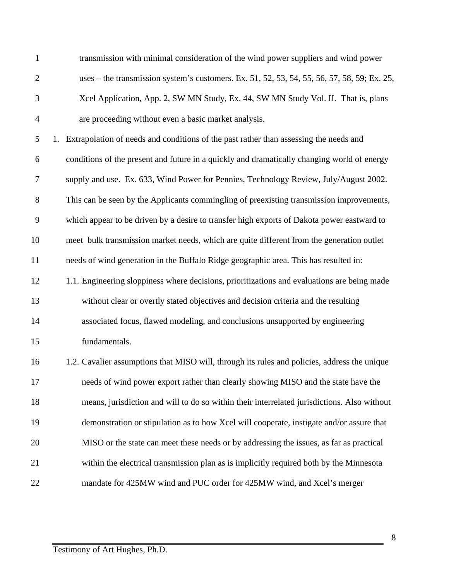| $\mathbf{1}$   | transmission with minimal consideration of the wind power suppliers and wind power           |
|----------------|----------------------------------------------------------------------------------------------|
| $\overline{c}$ | uses – the transmission system's customers. Ex. 51, 52, 53, 54, 55, 56, 57, 58, 59; Ex. 25,  |
| 3              | Xcel Application, App. 2, SW MN Study, Ex. 44, SW MN Study Vol. II. That is, plans           |
| $\overline{4}$ | are proceeding without even a basic market analysis.                                         |
| 5              | 1. Extrapolation of needs and conditions of the past rather than assessing the needs and     |
| 6              | conditions of the present and future in a quickly and dramatically changing world of energy  |
| 7              | supply and use. Ex. 633, Wind Power for Pennies, Technology Review, July/August 2002.        |
| 8              | This can be seen by the Applicants commingling of preexisting transmission improvements,     |
| 9              | which appear to be driven by a desire to transfer high exports of Dakota power eastward to   |
| 10             | meet bulk transmission market needs, which are quite different from the generation outlet    |
| 11             | needs of wind generation in the Buffalo Ridge geographic area. This has resulted in:         |
| 12             | 1.1. Engineering sloppiness where decisions, prioritizations and evaluations are being made  |
| 13             | without clear or overtly stated objectives and decision criteria and the resulting           |
| 14             | associated focus, flawed modeling, and conclusions unsupported by engineering                |
| 15             | fundamentals.                                                                                |
| 16             | 1.2. Cavalier assumptions that MISO will, through its rules and policies, address the unique |
| 17             | needs of wind power export rather than clearly showing MISO and the state have the           |
| 18             | means, jurisdiction and will to do so within their interrelated jurisdictions. Also without  |
| 19             | demonstration or stipulation as to how Xcel will cooperate, instigate and/or assure that     |
| 20             | MISO or the state can meet these needs or by addressing the issues, as far as practical      |
| 21             | within the electrical transmission plan as is implicitly required both by the Minnesota      |
| 22             | mandate for 425MW wind and PUC order for 425MW wind, and Xcel's merger                       |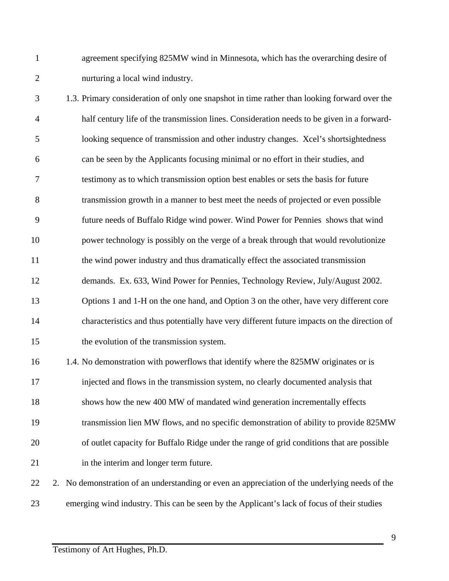agreement specifying 825MW wind in Minnesota, which has the overarching desire of nurturing a local wind industry.

- 1.3. Primary consideration of only one snapshot in time rather than looking forward over the half century life of the transmission lines. Consideration needs to be given in a forward- looking sequence of transmission and other industry changes. Xcel's shortsightedness can be seen by the Applicants focusing minimal or no effort in their studies, and testimony as to which transmission option best enables or sets the basis for future transmission growth in a manner to best meet the needs of projected or even possible future needs of Buffalo Ridge wind power. Wind Power for Pennies shows that wind power technology is possibly on the verge of a break through that would revolutionize the wind power industry and thus dramatically effect the associated transmission demands. Ex. 633, Wind Power for Pennies, Technology Review, July/August 2002. Options 1 and 1-H on the one hand, and Option 3 on the other, have very different core characteristics and thus potentially have very different future impacts on the direction of the evolution of the transmission system. 1.4. No demonstration with powerflows that identify where the 825MW originates or is injected and flows in the transmission system, no clearly documented analysis that shows how the new 400 MW of mandated wind generation incrementally effects transmission lien MW flows, and no specific demonstration of ability to provide 825MW of outlet capacity for Buffalo Ridge under the range of grid conditions that are possible in the interim and longer term future. 2. No demonstration of an understanding or even an appreciation of the underlying needs of the
- emerging wind industry. This can be seen by the Applicant's lack of focus of their studies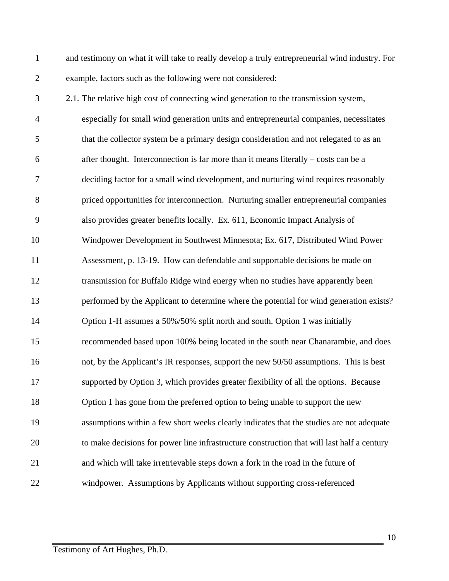and testimony on what it will take to really develop a truly entrepreneurial wind industry. For example, factors such as the following were not considered:

 2.1. The relative high cost of connecting wind generation to the transmission system, especially for small wind generation units and entrepreneurial companies, necessitates that the collector system be a primary design consideration and not relegated to as an after thought. Interconnection is far more than it means literally – costs can be a deciding factor for a small wind development, and nurturing wind requires reasonably priced opportunities for interconnection. Nurturing smaller entrepreneurial companies also provides greater benefits locally. Ex. 611, Economic Impact Analysis of Windpower Development in Southwest Minnesota; Ex. 617, Distributed Wind Power Assessment, p. 13-19. How can defendable and supportable decisions be made on transmission for Buffalo Ridge wind energy when no studies have apparently been performed by the Applicant to determine where the potential for wind generation exists? Option 1-H assumes a 50%/50% split north and south. Option 1 was initially recommended based upon 100% being located in the south near Chanarambie, and does not, by the Applicant's IR responses, support the new 50/50 assumptions. This is best supported by Option 3, which provides greater flexibility of all the options. Because Option 1 has gone from the preferred option to being unable to support the new assumptions within a few short weeks clearly indicates that the studies are not adequate to make decisions for power line infrastructure construction that will last half a century and which will take irretrievable steps down a fork in the road in the future of windpower. Assumptions by Applicants without supporting cross-referenced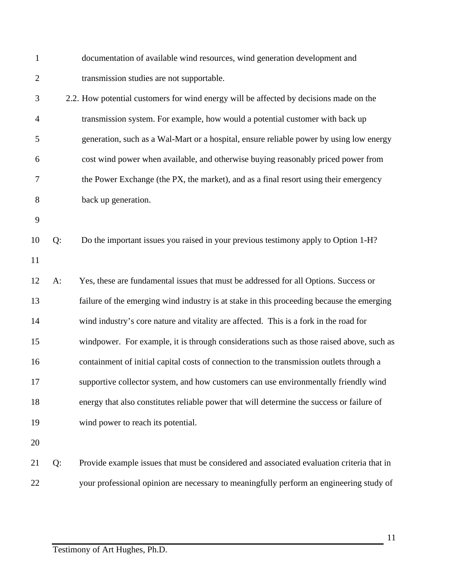| $\mathbf{1}$   |       | documentation of available wind resources, wind generation development and                |
|----------------|-------|-------------------------------------------------------------------------------------------|
| $\overline{2}$ |       | transmission studies are not supportable.                                                 |
| 3              |       | 2.2. How potential customers for wind energy will be affected by decisions made on the    |
| $\overline{4}$ |       | transmission system. For example, how would a potential customer with back up             |
| 5              |       | generation, such as a Wal-Mart or a hospital, ensure reliable power by using low energy   |
| 6              |       | cost wind power when available, and otherwise buying reasonably priced power from         |
| 7              |       | the Power Exchange (the PX, the market), and as a final resort using their emergency      |
| 8              |       | back up generation.                                                                       |
| 9              |       |                                                                                           |
| 10             | Q:    | Do the important issues you raised in your previous testimony apply to Option 1-H?        |
| 11             |       |                                                                                           |
| 12             | $A$ : | Yes, these are fundamental issues that must be addressed for all Options. Success or      |
| 13             |       | failure of the emerging wind industry is at stake in this proceeding because the emerging |
| 14             |       | wind industry's core nature and vitality are affected. This is a fork in the road for     |
| 15             |       | windpower. For example, it is through considerations such as those raised above, such as  |
| 16             |       | containment of initial capital costs of connection to the transmission outlets through a  |
| 17             |       | supportive collector system, and how customers can use environmentally friendly wind      |
| 18             |       | energy that also constitutes reliable power that will determine the success or failure of |
| 19             |       | wind power to reach its potential.                                                        |
| 20             |       |                                                                                           |
| 21             | Q:    | Provide example issues that must be considered and associated evaluation criteria that in |
| 22             |       | your professional opinion are necessary to meaningfully perform an engineering study of   |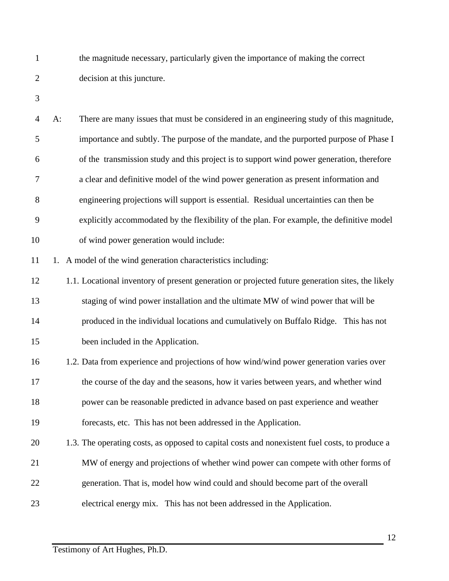the magnitude necessary, particularly given the importance of making the correct decision at this juncture.

 A: There are many issues that must be considered in an engineering study of this magnitude, importance and subtly. The purpose of the mandate, and the purported purpose of Phase I of the transmission study and this project is to support wind power generation, therefore a clear and definitive model of the wind power generation as present information and engineering projections will support is essential. Residual uncertainties can then be explicitly accommodated by the flexibility of the plan. For example, the definitive model of wind power generation would include:

11 1. A model of the wind generation characteristics including:

 1.1. Locational inventory of present generation or projected future generation sites, the likely staging of wind power installation and the ultimate MW of wind power that will be produced in the individual locations and cumulatively on Buffalo Ridge. This has not been included in the Application.

 1.2. Data from experience and projections of how wind/wind power generation varies over the course of the day and the seasons, how it varies between years, and whether wind power can be reasonable predicted in advance based on past experience and weather forecasts, etc. This has not been addressed in the Application.

1.3. The operating costs, as opposed to capital costs and nonexistent fuel costs, to produce a

MW of energy and projections of whether wind power can compete with other forms of

generation. That is, model how wind could and should become part of the overall

electrical energy mix. This has not been addressed in the Application.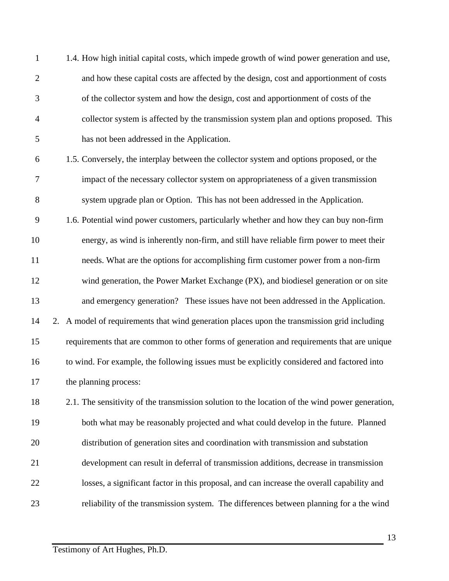|                | 1.4. How high initial capital costs, which impede growth of wind power generation and use, |
|----------------|--------------------------------------------------------------------------------------------|
| $\overline{2}$ | and how these capital costs are affected by the design, cost and apportionment of costs    |
| 3              | of the collector system and how the design, cost and apportionment of costs of the         |
| $\overline{4}$ | collector system is affected by the transmission system plan and options proposed. This    |
| 5              | has not been addressed in the Application.                                                 |
|                |                                                                                            |

- 1.5. Conversely, the interplay between the collector system and options proposed, or the impact of the necessary collector system on appropriateness of a given transmission system upgrade plan or Option. This has not been addressed in the Application.
- 1.6. Potential wind power customers, particularly whether and how they can buy non-firm energy, as wind is inherently non-firm, and still have reliable firm power to meet their needs. What are the options for accomplishing firm customer power from a non-firm wind generation, the Power Market Exchange (PX), and biodiesel generation or on site and emergency generation? These issues have not been addressed in the Application. 2. A model of requirements that wind generation places upon the transmission grid including requirements that are common to other forms of generation and requirements that are unique to wind. For example, the following issues must be explicitly considered and factored into the planning process:

18 2.1. The sensitivity of the transmission solution to the location of the wind power generation, both what may be reasonably projected and what could develop in the future. Planned distribution of generation sites and coordination with transmission and substation development can result in deferral of transmission additions, decrease in transmission losses, a significant factor in this proposal, and can increase the overall capability and reliability of the transmission system. The differences between planning for a the wind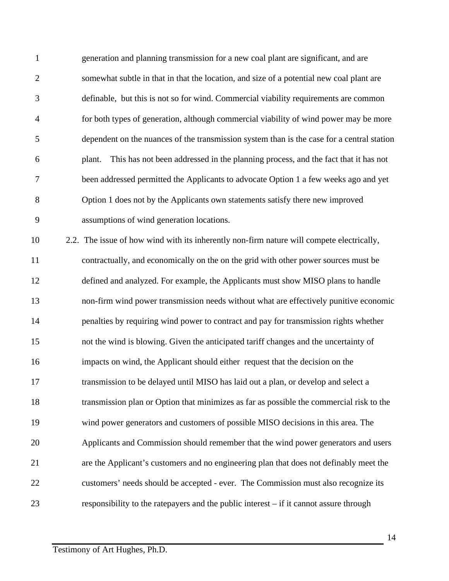| $\mathbf{1}$   | generation and planning transmission for a new coal plant are significant, and are          |
|----------------|---------------------------------------------------------------------------------------------|
| $\mathfrak{2}$ | somewhat subtle in that in that the location, and size of a potential new coal plant are    |
| 3              | definable, but this is not so for wind. Commercial viability requirements are common        |
| $\overline{4}$ | for both types of generation, although commercial viability of wind power may be more       |
| 5              | dependent on the nuances of the transmission system than is the case for a central station  |
| 6              | This has not been addressed in the planning process, and the fact that it has not<br>plant. |
| $\tau$         | been addressed permitted the Applicants to advocate Option 1 a few weeks ago and yet        |
| 8              | Option 1 does not by the Applicants own statements satisfy there new improved               |
| 9              | assumptions of wind generation locations.                                                   |
| 10             | 2.2. The issue of how wind with its inherently non-firm nature will compete electrically,   |
| 11             | contractually, and economically on the on the grid with other power sources must be         |
| 12             | defined and analyzed. For example, the Applicants must show MISO plans to handle            |
| 13             | non-firm wind power transmission needs without what are effectively punitive economic       |
| 14             | penalties by requiring wind power to contract and pay for transmission rights whether       |
| 15             | not the wind is blowing. Given the anticipated tariff changes and the uncertainty of        |
| 16             | impacts on wind, the Applicant should either request that the decision on the               |
| 17             | transmission to be delayed until MISO has laid out a plan, or develop and select a          |
| 18             | transmission plan or Option that minimizes as far as possible the commercial risk to the    |
| 19             | wind power generators and customers of possible MISO decisions in this area. The            |
| 20             | Applicants and Commission should remember that the wind power generators and users          |
| 21             | are the Applicant's customers and no engineering plan that does not definably meet the      |
| 22             | customers' needs should be accepted - ever. The Commission must also recognize its          |
| 23             | responsibility to the rate payers and the public interest $-$ if it cannot assure through   |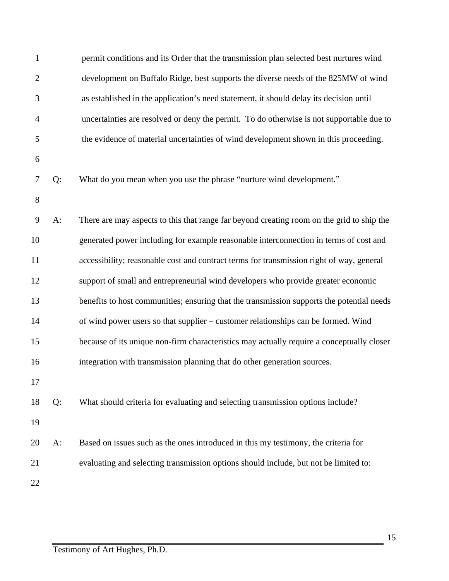| $\mathbf{1}$   |       | permit conditions and its Order that the transmission plan selected best nurtures wind    |
|----------------|-------|-------------------------------------------------------------------------------------------|
| $\mathfrak{2}$ |       | development on Buffalo Ridge, best supports the diverse needs of the 825MW of wind        |
| 3              |       | as established in the application's need statement, it should delay its decision until    |
| $\overline{4}$ |       | uncertainties are resolved or deny the permit. To do otherwise is not supportable due to  |
| 5              |       | the evidence of material uncertainties of wind development shown in this proceeding.      |
| 6              |       |                                                                                           |
| 7              | Q:    | What do you mean when you use the phrase "nurture wind development."                      |
| 8              |       |                                                                                           |
| 9              | $A$ : | There are may aspects to this that range far beyond creating room on the grid to ship the |
| 10             |       | generated power including for example reasonable interconnection in terms of cost and     |
| 11             |       | accessibility; reasonable cost and contract terms for transmission right of way, general  |
| 12             |       | support of small and entrepreneurial wind developers who provide greater economic         |
| 13             |       | benefits to host communities; ensuring that the transmission supports the potential needs |
| 14             |       | of wind power users so that supplier – customer relationships can be formed. Wind         |
| 15             |       | because of its unique non-firm characteristics may actually require a conceptually closer |
| 16             |       | integration with transmission planning that do other generation sources.                  |
| 17             |       |                                                                                           |
| 18             | Q:    | What should criteria for evaluating and selecting transmission options include?           |
| 19             |       |                                                                                           |
| 20             | A:    | Based on issues such as the ones introduced in this my testimony, the criteria for        |
| 21             |       | evaluating and selecting transmission options should include, but not be limited to:      |
| 22             |       |                                                                                           |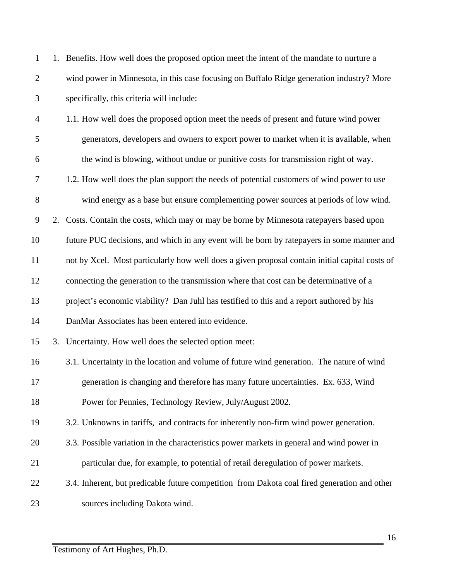| $\mathbf{1}$   | 1. Benefits. How well does the proposed option meet the intent of the mandate to nurture a     |
|----------------|------------------------------------------------------------------------------------------------|
| $\mathbf{2}$   | wind power in Minnesota, in this case focusing on Buffalo Ridge generation industry? More      |
| 3              | specifically, this criteria will include:                                                      |
| $\overline{4}$ | 1.1. How well does the proposed option meet the needs of present and future wind power         |
| 5              | generators, developers and owners to export power to market when it is available, when         |
| 6              | the wind is blowing, without undue or punitive costs for transmission right of way.            |
| 7              | 1.2. How well does the plan support the needs of potential customers of wind power to use      |
| 8              | wind energy as a base but ensure complementing power sources at periods of low wind.           |
| 9              | 2. Costs. Contain the costs, which may or may be borne by Minnesota ratepayers based upon      |
| 10             | future PUC decisions, and which in any event will be born by ratepayers in some manner and     |
| 11             | not by Xcel. Most particularly how well does a given proposal contain initial capital costs of |
| 12             | connecting the generation to the transmission where that cost can be determinative of a        |
| 13             | project's economic viability? Dan Juhl has testified to this and a report authored by his      |
| 14             | DanMar Associates has been entered into evidence.                                              |
| 15             | 3. Uncertainty. How well does the selected option meet:                                        |
| 16             | 3.1. Uncertainty in the location and volume of future wind generation. The nature of wind      |
| 17             | generation is changing and therefore has many future uncertainties. Ex. 633, Wind              |
| 18             | Power for Pennies, Technology Review, July/August 2002.                                        |
| 19             | 3.2. Unknowns in tariffs, and contracts for inherently non-firm wind power generation.         |
| 20             | 3.3. Possible variation in the characteristics power markets in general and wind power in      |
| 21             | particular due, for example, to potential of retail deregulation of power markets.             |
| 22             | 3.4. Inherent, but predicable future competition from Dakota coal fired generation and other   |
| 23             | sources including Dakota wind.                                                                 |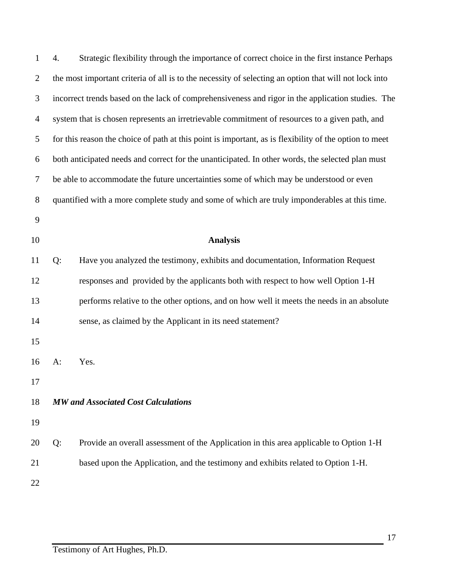| $\mathbf{1}$   | 4.                                                                                               | Strategic flexibility through the importance of correct choice in the first instance Perhaps           |
|----------------|--------------------------------------------------------------------------------------------------|--------------------------------------------------------------------------------------------------------|
| $\overline{2}$ |                                                                                                  | the most important criteria of all is to the necessity of selecting an option that will not lock into  |
| 3              |                                                                                                  | incorrect trends based on the lack of comprehensiveness and rigor in the application studies. The      |
| $\overline{4}$ |                                                                                                  | system that is chosen represents an irretrievable commitment of resources to a given path, and         |
| 5              |                                                                                                  | for this reason the choice of path at this point is important, as is flexibility of the option to meet |
| 6              | both anticipated needs and correct for the unanticipated. In other words, the selected plan must |                                                                                                        |
| 7              | be able to accommodate the future uncertainties some of which may be understood or even          |                                                                                                        |
| $8\,$          | quantified with a more complete study and some of which are truly imponderables at this time.    |                                                                                                        |
| $\mathbf{9}$   |                                                                                                  |                                                                                                        |
| 10             |                                                                                                  | <b>Analysis</b>                                                                                        |
| 11             | Q:                                                                                               | Have you analyzed the testimony, exhibits and documentation, Information Request                       |
| 12             |                                                                                                  | responses and provided by the applicants both with respect to how well Option 1-H                      |
| 13             |                                                                                                  | performs relative to the other options, and on how well it meets the needs in an absolute              |
| 14             |                                                                                                  | sense, as claimed by the Applicant in its need statement?                                              |
| 15             |                                                                                                  |                                                                                                        |
| 16             | $A$ :                                                                                            | Yes.                                                                                                   |
| 17             |                                                                                                  |                                                                                                        |
| 18             |                                                                                                  | <b>MW</b> and Associated Cost Calculations                                                             |
| 19             |                                                                                                  |                                                                                                        |
| 20             | Q:                                                                                               | Provide an overall assessment of the Application in this area applicable to Option 1-H                 |
| 21             |                                                                                                  | based upon the Application, and the testimony and exhibits related to Option 1-H.                      |
| 22             |                                                                                                  |                                                                                                        |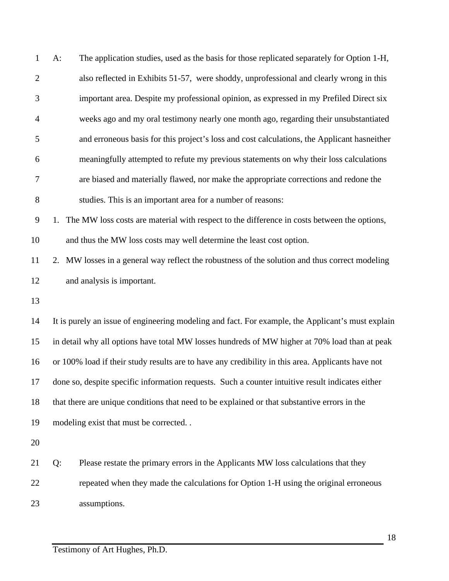| $\mathbf{1}$   | $A$ :                      | The application studies, used as the basis for those replicated separately for Option 1-H,        |
|----------------|----------------------------|---------------------------------------------------------------------------------------------------|
| $\overline{2}$ |                            | also reflected in Exhibits 51-57, were shoddy, unprofessional and clearly wrong in this           |
| 3              |                            | important area. Despite my professional opinion, as expressed in my Prefiled Direct six           |
| $\overline{4}$ |                            | weeks ago and my oral testimony nearly one month ago, regarding their unsubstantiated             |
| 5              |                            | and erroneous basis for this project's loss and cost calculations, the Applicant has neither      |
| 6              |                            | meaningfully attempted to refute my previous statements on why their loss calculations            |
| 7              |                            | are biased and materially flawed, nor make the appropriate corrections and redone the             |
| $8\,$          |                            | studies. This is an important area for a number of reasons:                                       |
| $\overline{9}$ | 1.                         | The MW loss costs are material with respect to the difference in costs between the options,       |
| 10             |                            | and thus the MW loss costs may well determine the least cost option.                              |
| 11             |                            | 2. MW losses in a general way reflect the robustness of the solution and thus correct modeling    |
| 12             | and analysis is important. |                                                                                                   |
| 13             |                            |                                                                                                   |
| 14             |                            | It is purely an issue of engineering modeling and fact. For example, the Applicant's must explain |
| 15             |                            | in detail why all options have total MW losses hundreds of MW higher at 70% load than at peak     |
| 16             |                            | or 100% load if their study results are to have any credibility in this area. Applicants have not |
| 17             |                            | done so, despite specific information requests. Such a counter intuitive result indicates either  |
| 18             |                            | that there are unique conditions that need to be explained or that substantive errors in the      |
| 19             |                            | modeling exist that must be corrected                                                             |
| 20             |                            |                                                                                                   |
| 21             | Q:                         | Please restate the primary errors in the Applicants MW loss calculations that they                |
| 22             |                            | repeated when they made the calculations for Option 1-H using the original erroneous              |
| 23             | assumptions.               |                                                                                                   |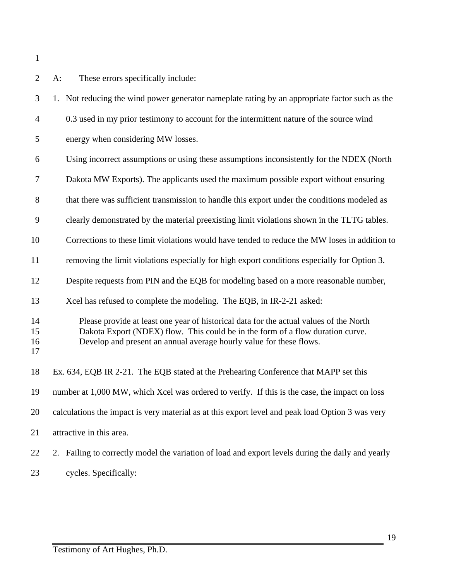A: These errors specifically include: 1. Not reducing the wind power generator nameplate rating by an appropriate factor such as the 0.3 used in my prior testimony to account for the intermittent nature of the source wind energy when considering MW losses. Using incorrect assumptions or using these assumptions inconsistently for the NDEX (North Dakota MW Exports). The applicants used the maximum possible export without ensuring 8 that there was sufficient transmission to handle this export under the conditions modeled as clearly demonstrated by the material preexisting limit violations shown in the TLTG tables. Corrections to these limit violations would have tended to reduce the MW loses in addition to removing the limit violations especially for high export conditions especially for Option 3. Despite requests from PIN and the EQB for modeling based on a more reasonable number, 13 Xcel has refused to complete the modeling. The EQB, in IR-2-21 asked: Please provide at least one year of historical data for the actual values of the North Dakota Export (NDEX) flow. This could be in the form of a flow duration curve. Develop and present an annual average hourly value for these flows. Ex. 634, EQB IR 2-21. The EQB stated at the Prehearing Conference that MAPP set this number at 1,000 MW, which Xcel was ordered to verify. If this is the case, the impact on loss calculations the impact is very material as at this export level and peak load Option 3 was very attractive in this area. 2. Failing to correctly model the variation of load and export levels during the daily and yearly cycles. Specifically: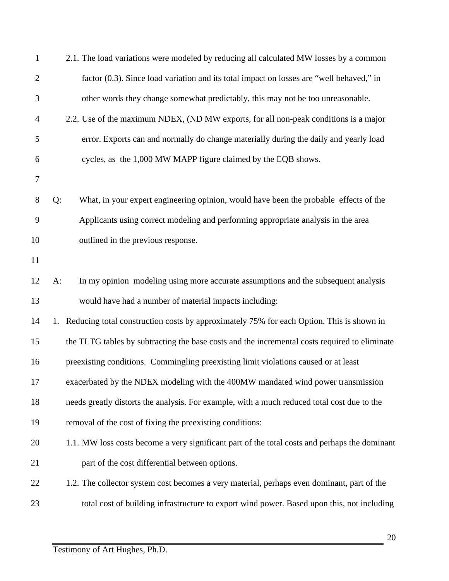| $\mathbf{1}$ | 2.1. The load variations were modeled by reducing all calculated MW losses by a common        |
|--------------|-----------------------------------------------------------------------------------------------|
| $\mathbf{2}$ | factor (0.3). Since load variation and its total impact on losses are "well behaved," in      |
| 3            | other words they change somewhat predictably, this may not be too unreasonable.               |
| 4            | 2.2. Use of the maximum NDEX, (ND MW exports, for all non-peak conditions is a major          |
| 5            | error. Exports can and normally do change materially during the daily and yearly load         |
| 6            | cycles, as the 1,000 MW MAPP figure claimed by the EQB shows.                                 |
| $\tau$       |                                                                                               |
| $8\,$        | Q:<br>What, in your expert engineering opinion, would have been the probable effects of the   |
| 9            | Applicants using correct modeling and performing appropriate analysis in the area             |
| 10           | outlined in the previous response.                                                            |
| 11           |                                                                                               |
| 12           | In my opinion modeling using more accurate assumptions and the subsequent analysis<br>$A$ :   |
| 13           | would have had a number of material impacts including:                                        |
| 14           | 1. Reducing total construction costs by approximately 75% for each Option. This is shown in   |
| 15           | the TLTG tables by subtracting the base costs and the incremental costs required to eliminate |
| 16           | preexisting conditions. Commingling preexisting limit violations caused or at least           |
| 17           | exacerbated by the NDEX modeling with the 400MW mandated wind power transmission              |
| 18           | needs greatly distorts the analysis. For example, with a much reduced total cost due to the   |
| 19           | removal of the cost of fixing the preexisting conditions:                                     |
| 20           | 1.1. MW loss costs become a very significant part of the total costs and perhaps the dominant |
| 21           | part of the cost differential between options.                                                |
| 22           | 1.2. The collector system cost becomes a very material, perhaps even dominant, part of the    |
| 23           | total cost of building infrastructure to export wind power. Based upon this, not including    |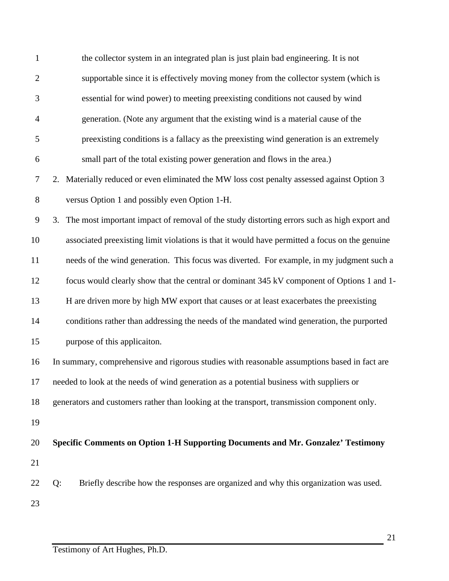| $\mathbf{1}$   | the collector system in an integrated plan is just plain bad engineering. It is not            |
|----------------|------------------------------------------------------------------------------------------------|
| $\mathfrak{2}$ | supportable since it is effectively moving money from the collector system (which is           |
| 3              | essential for wind power) to meeting preexisting conditions not caused by wind                 |
| $\overline{4}$ | generation. (Note any argument that the existing wind is a material cause of the               |
| 5              | preexisting conditions is a fallacy as the preexisting wind generation is an extremely         |
| 6              | small part of the total existing power generation and flows in the area.)                      |
| $\tau$         | 2. Materially reduced or even eliminated the MW loss cost penalty assessed against Option 3    |
| $8\,$          | versus Option 1 and possibly even Option 1-H.                                                  |
| 9              | 3. The most important impact of removal of the study distorting errors such as high export and |
| 10             | associated preexisting limit violations is that it would have permitted a focus on the genuine |
| 11             | needs of the wind generation. This focus was diverted. For example, in my judgment such a      |
| 12             | focus would clearly show that the central or dominant 345 kV component of Options 1 and 1-     |
| 13             | H are driven more by high MW export that causes or at least exacerbates the preexisting        |
| 14             | conditions rather than addressing the needs of the mandated wind generation, the purported     |
| 15             | purpose of this applicaiton.                                                                   |
| 16             | In summary, comprehensive and rigorous studies with reasonable assumptions based in fact are   |
| 17             | needed to look at the needs of wind generation as a potential business with suppliers or       |
| 18             | generators and customers rather than looking at the transport, transmission component only.    |
| 19             |                                                                                                |
| 20             | Specific Comments on Option 1-H Supporting Documents and Mr. Gonzalez' Testimony               |
| 21             |                                                                                                |
| 22             | Briefly describe how the responses are organized and why this organization was used.<br>Q:     |
| 23             |                                                                                                |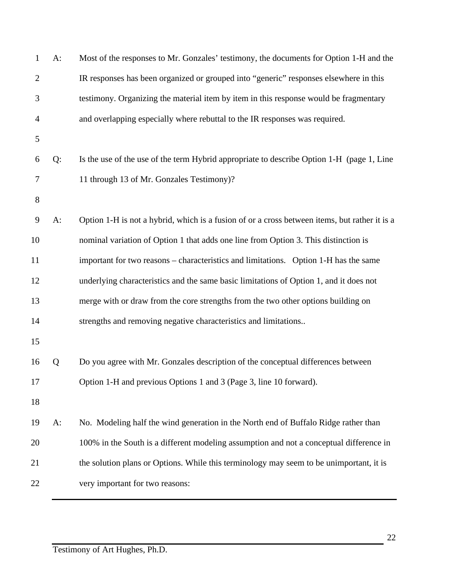| 1              | $A$ : | Most of the responses to Mr. Gonzales' testimony, the documents for Option 1-H and the        |
|----------------|-------|-----------------------------------------------------------------------------------------------|
| $\overline{2}$ |       | IR responses has been organized or grouped into "generic" responses elsewhere in this         |
| 3              |       | testimony. Organizing the material item by item in this response would be fragmentary         |
| 4              |       | and overlapping especially where rebuttal to the IR responses was required.                   |
| 5              |       |                                                                                               |
| 6              | Q:    | Is the use of the use of the term Hybrid appropriate to describe Option 1-H (page 1, Line     |
| 7              |       | 11 through 13 of Mr. Gonzales Testimony)?                                                     |
| $8\,$          |       |                                                                                               |
| 9              | $A$ : | Option 1-H is not a hybrid, which is a fusion of or a cross between items, but rather it is a |
| 10             |       | nominal variation of Option 1 that adds one line from Option 3. This distinction is           |
| 11             |       | important for two reasons – characteristics and limitations. Option 1-H has the same          |
| 12             |       | underlying characteristics and the same basic limitations of Option 1, and it does not        |
| 13             |       | merge with or draw from the core strengths from the two other options building on             |
| 14             |       | strengths and removing negative characteristics and limitations                               |
| 15             |       |                                                                                               |
| 16             | Q     | Do you agree with Mr. Gonzales description of the conceptual differences between              |
| 17             |       | Option 1-H and previous Options 1 and 3 (Page 3, line 10 forward).                            |
| 18             |       |                                                                                               |
| 19             | $A$ : | No. Modeling half the wind generation in the North end of Buffalo Ridge rather than           |
| 20             |       | 100% in the South is a different modeling assumption and not a conceptual difference in       |
| 21             |       | the solution plans or Options. While this terminology may seem to be unimportant, it is       |
| 22             |       | very important for two reasons:                                                               |
|                |       |                                                                                               |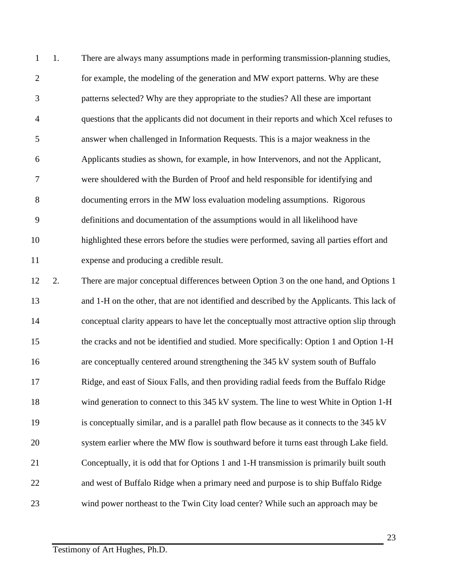1. There are always many assumptions made in performing transmission-planning studies, for example, the modeling of the generation and MW export patterns. Why are these patterns selected? Why are they appropriate to the studies? All these are important questions that the applicants did not document in their reports and which Xcel refuses to answer when challenged in Information Requests. This is a major weakness in the Applicants studies as shown, for example, in how Intervenors, and not the Applicant, were shouldered with the Burden of Proof and held responsible for identifying and documenting errors in the MW loss evaluation modeling assumptions. Rigorous definitions and documentation of the assumptions would in all likelihood have highlighted these errors before the studies were performed, saving all parties effort and expense and producing a credible result. 2. There are major conceptual differences between Option 3 on the one hand, and Options 1 and 1-H on the other, that are not identified and described by the Applicants. This lack of

 conceptual clarity appears to have let the conceptually most attractive option slip through the cracks and not be identified and studied. More specifically: Option 1 and Option 1-H are conceptually centered around strengthening the 345 kV system south of Buffalo Ridge, and east of Sioux Falls, and then providing radial feeds from the Buffalo Ridge wind generation to connect to this 345 kV system. The line to west White in Option 1-H is conceptually similar, and is a parallel path flow because as it connects to the 345 kV system earlier where the MW flow is southward before it turns east through Lake field. Conceptually, it is odd that for Options 1 and 1-H transmission is primarily built south and west of Buffalo Ridge when a primary need and purpose is to ship Buffalo Ridge wind power northeast to the Twin City load center? While such an approach may be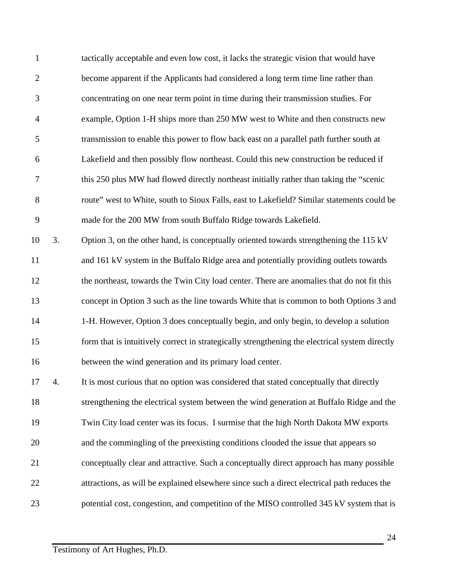tactically acceptable and even low cost, it lacks the strategic vision that would have become apparent if the Applicants had considered a long term time line rather than concentrating on one near term point in time during their transmission studies. For example, Option 1-H ships more than 250 MW west to White and then constructs new transmission to enable this power to flow back east on a parallel path further south at Lakefield and then possibly flow northeast. Could this new construction be reduced if this 250 plus MW had flowed directly northeast initially rather than taking the "scenic route" west to White, south to Sioux Falls, east to Lakefield? Similar statements could be made for the 200 MW from south Buffalo Ridge towards Lakefield. 3. Option 3, on the other hand, is conceptually oriented towards strengthening the 115 kV and 161 kV system in the Buffalo Ridge area and potentially providing outlets towards the northeast, towards the Twin City load center. There are anomalies that do not fit this concept in Option 3 such as the line towards White that is common to both Options 3 and 1-H. However, Option 3 does conceptually begin, and only begin, to develop a solution form that is intuitively correct in strategically strengthening the electrical system directly between the wind generation and its primary load center. 4. It is most curious that no option was considered that stated conceptually that directly

 strengthening the electrical system between the wind generation at Buffalo Ridge and the Twin City load center was its focus. I surmise that the high North Dakota MW exports and the commingling of the preexisting conditions clouded the issue that appears so conceptually clear and attractive. Such a conceptually direct approach has many possible attractions, as will be explained elsewhere since such a direct electrical path reduces the 23 potential cost, congestion, and competition of the MISO controlled 345 kV system that is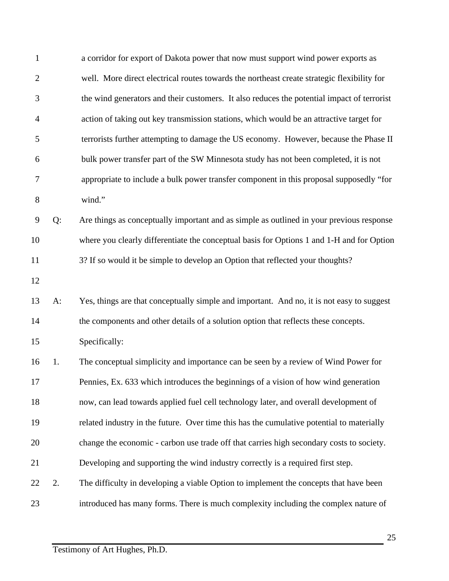| 1              |       | a corridor for export of Dakota power that now must support wind power exports as          |
|----------------|-------|--------------------------------------------------------------------------------------------|
| $\overline{c}$ |       | well. More direct electrical routes towards the northeast create strategic flexibility for |
| 3              |       | the wind generators and their customers. It also reduces the potential impact of terrorist |
| $\overline{4}$ |       | action of taking out key transmission stations, which would be an attractive target for    |
| 5              |       | terrorists further attempting to damage the US economy. However, because the Phase II      |
| 6              |       | bulk power transfer part of the SW Minnesota study has not been completed, it is not       |
| 7              |       | appropriate to include a bulk power transfer component in this proposal supposedly "for    |
| $8\,$          |       | wind."                                                                                     |
| 9              | Q:    | Are things as conceptually important and as simple as outlined in your previous response   |
| 10             |       | where you clearly differentiate the conceptual basis for Options 1 and 1-H and for Option  |
| 11             |       | 3? If so would it be simple to develop an Option that reflected your thoughts?             |
| 12             |       |                                                                                            |
| 13             | $A$ : | Yes, things are that conceptually simple and important. And no, it is not easy to suggest  |
| 14             |       | the components and other details of a solution option that reflects these concepts.        |
| 15             |       | Specifically:                                                                              |
| 16             | 1.    | The conceptual simplicity and importance can be seen by a review of Wind Power for         |
| 17             |       | Pennies, Ex. 633 which introduces the beginnings of a vision of how wind generation        |
| 18             |       | now, can lead towards applied fuel cell technology later, and overall development of       |
| 19             |       | related industry in the future. Over time this has the cumulative potential to materially  |
| 20             |       | change the economic - carbon use trade off that carries high secondary costs to society.   |
| 21             |       | Developing and supporting the wind industry correctly is a required first step.            |
| 22             | 2.    | The difficulty in developing a viable Option to implement the concepts that have been      |
| 23             |       | introduced has many forms. There is much complexity including the complex nature of        |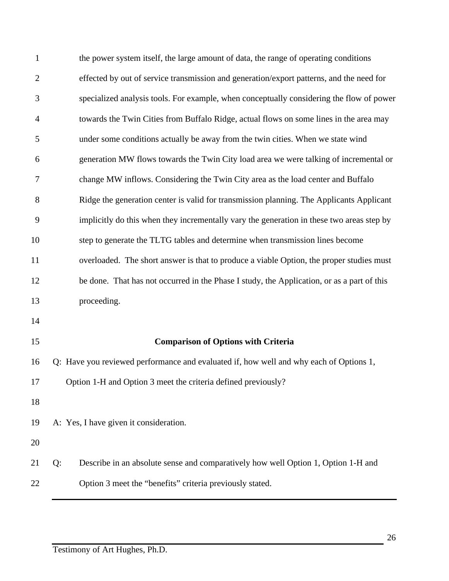| $\mathbf{1}$   | the power system itself, the large amount of data, the range of operating conditions       |
|----------------|--------------------------------------------------------------------------------------------|
| $\overline{2}$ | effected by out of service transmission and generation/export patterns, and the need for   |
| 3              | specialized analysis tools. For example, when conceptually considering the flow of power   |
| $\overline{4}$ | towards the Twin Cities from Buffalo Ridge, actual flows on some lines in the area may     |
| 5              | under some conditions actually be away from the twin cities. When we state wind            |
| 6              | generation MW flows towards the Twin City load area we were talking of incremental or      |
| 7              | change MW inflows. Considering the Twin City area as the load center and Buffalo           |
| 8              | Ridge the generation center is valid for transmission planning. The Applicants Applicant   |
| 9              | implicitly do this when they incrementally vary the generation in these two areas step by  |
| 10             | step to generate the TLTG tables and determine when transmission lines become              |
| 11             | overloaded. The short answer is that to produce a viable Option, the proper studies must   |
| 12             | be done. That has not occurred in the Phase I study, the Application, or as a part of this |
| 13             | proceeding.                                                                                |
| 14             |                                                                                            |
| 15             | <b>Comparison of Options with Criteria</b>                                                 |
| 16             | Q: Have you reviewed performance and evaluated if, how well and why each of Options 1,     |
| 17             | Option 1-H and Option 3 meet the criteria defined previously?                              |
| 18             |                                                                                            |
| 19             | A: Yes, I have given it consideration.                                                     |
| 20             |                                                                                            |
| 21             | Describe in an absolute sense and comparatively how well Option 1, Option 1-H and<br>Q:    |
| 22             | Option 3 meet the "benefits" criteria previously stated.                                   |
|                |                                                                                            |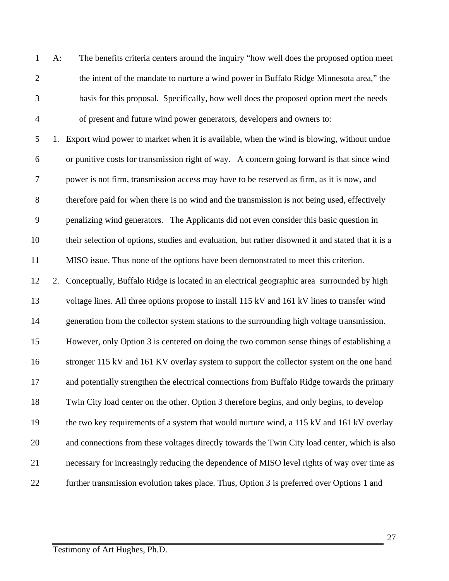A: The benefits criteria centers around the inquiry "how well does the proposed option meet 2 the intent of the mandate to nurture a wind power in Buffalo Ridge Minnesota area," the basis for this proposal. Specifically, how well does the proposed option meet the needs of present and future wind power generators, developers and owners to:

 1. Export wind power to market when it is available, when the wind is blowing, without undue or punitive costs for transmission right of way. A concern going forward is that since wind power is not firm, transmission access may have to be reserved as firm, as it is now, and therefore paid for when there is no wind and the transmission is not being used, effectively penalizing wind generators. The Applicants did not even consider this basic question in their selection of options, studies and evaluation, but rather disowned it and stated that it is a MISO issue. Thus none of the options have been demonstrated to meet this criterion. 2. Conceptually, Buffalo Ridge is located in an electrical geographic area surrounded by high voltage lines. All three options propose to install 115 kV and 161 kV lines to transfer wind generation from the collector system stations to the surrounding high voltage transmission. However, only Option 3 is centered on doing the two common sense things of establishing a 16 stronger 115 kV and 161 KV overlay system to support the collector system on the one hand and potentially strengthen the electrical connections from Buffalo Ridge towards the primary Twin City load center on the other. Option 3 therefore begins, and only begins, to develop 19 the two key requirements of a system that would nurture wind, a 115 kV and 161 kV overlay and connections from these voltages directly towards the Twin City load center, which is also necessary for increasingly reducing the dependence of MISO level rights of way over time as

22 further transmission evolution takes place. Thus, Option 3 is preferred over Options 1 and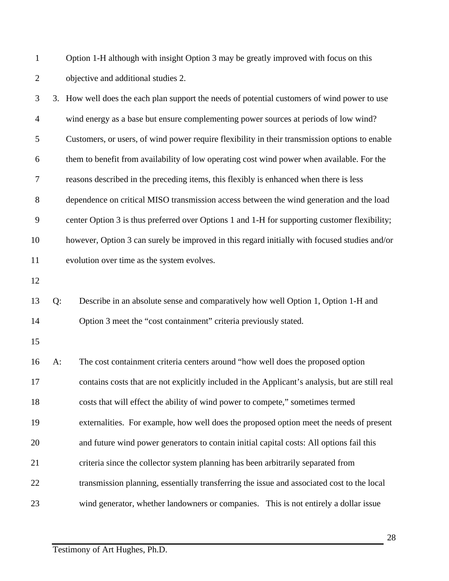| $\mathbf{1}$   |    | Option 1-H although with insight Option 3 may be greatly improved with focus on this            |
|----------------|----|-------------------------------------------------------------------------------------------------|
| $\overline{2}$ |    | objective and additional studies 2.                                                             |
| 3              |    | 3. How well does the each plan support the needs of potential customers of wind power to use    |
| $\overline{4}$ |    | wind energy as a base but ensure complementing power sources at periods of low wind?            |
| 5              |    | Customers, or users, of wind power require flexibility in their transmission options to enable  |
| 6              |    | them to benefit from availability of low operating cost wind power when available. For the      |
| $\tau$         |    | reasons described in the preceding items, this flexibly is enhanced when there is less          |
| $8\,$          |    | dependence on critical MISO transmission access between the wind generation and the load        |
| 9              |    | center Option 3 is thus preferred over Options 1 and 1-H for supporting customer flexibility;   |
| 10             |    | however, Option 3 can surely be improved in this regard initially with focused studies and/or   |
| 11             |    | evolution over time as the system evolves.                                                      |
| 12             |    |                                                                                                 |
| 13             | Q: | Describe in an absolute sense and comparatively how well Option 1, Option 1-H and               |
| 14             |    | Option 3 meet the "cost containment" criteria previously stated.                                |
| 15             |    |                                                                                                 |
| 16             | A: | The cost containment criteria centers around "how well does the proposed option                 |
| 17             |    | contains costs that are not explicitly included in the Applicant's analysis, but are still real |
| 18             |    | costs that will effect the ability of wind power to compete," sometimes termed                  |
| 19             |    | externalities. For example, how well does the proposed option meet the needs of present         |
| 20             |    | and future wind power generators to contain initial capital costs: All options fail this        |
| 21             |    | criteria since the collector system planning has been arbitrarily separated from                |
| 22             |    | transmission planning, essentially transferring the issue and associated cost to the local      |
| 23             |    | wind generator, whether landowners or companies. This is not entirely a dollar issue            |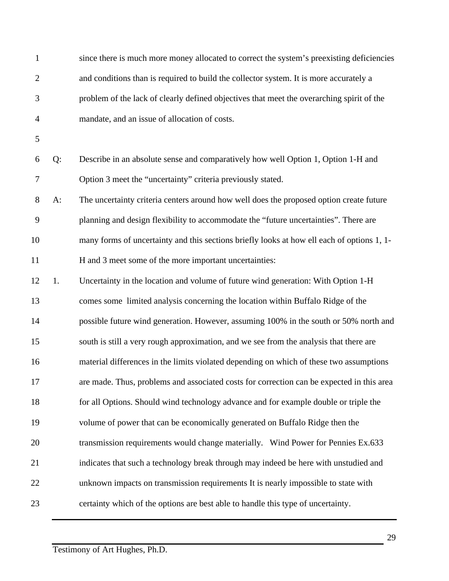| $\mathbf{1}$ |       | since there is much more money allocated to correct the system's preexisting deficiencies  |
|--------------|-------|--------------------------------------------------------------------------------------------|
| $\mathbf{2}$ |       | and conditions than is required to build the collector system. It is more accurately a     |
| 3            |       | problem of the lack of clearly defined objectives that meet the overarching spirit of the  |
| 4            |       | mandate, and an issue of allocation of costs.                                              |
| 5            |       |                                                                                            |
| 6            | Q:    | Describe in an absolute sense and comparatively how well Option 1, Option 1-H and          |
| 7            |       | Option 3 meet the "uncertainty" criteria previously stated.                                |
| 8            | $A$ : | The uncertainty criteria centers around how well does the proposed option create future    |
| 9            |       | planning and design flexibility to accommodate the "future uncertainties". There are       |
| 10           |       | many forms of uncertainty and this sections briefly looks at how ell each of options 1, 1- |
| 11           |       | H and 3 meet some of the more important uncertainties:                                     |
| 12           | 1.    | Uncertainty in the location and volume of future wind generation: With Option 1-H          |
| 13           |       | comes some limited analysis concerning the location within Buffalo Ridge of the            |
| 14           |       | possible future wind generation. However, assuming 100% in the south or 50% north and      |
| 15           |       | south is still a very rough approximation, and we see from the analysis that there are     |
| 16           |       | material differences in the limits violated depending on which of these two assumptions    |
| 17           |       | are made. Thus, problems and associated costs for correction can be expected in this area  |
| 18           |       | for all Options. Should wind technology advance and for example double or triple the       |
| 19           |       | volume of power that can be economically generated on Buffalo Ridge then the               |
| 20           |       | transmission requirements would change materially. Wind Power for Pennies Ex.633           |
| 21           |       | indicates that such a technology break through may indeed be here with unstudied and       |
| 22           |       | unknown impacts on transmission requirements It is nearly impossible to state with         |
| 23           |       | certainty which of the options are best able to handle this type of uncertainty.           |
|              |       |                                                                                            |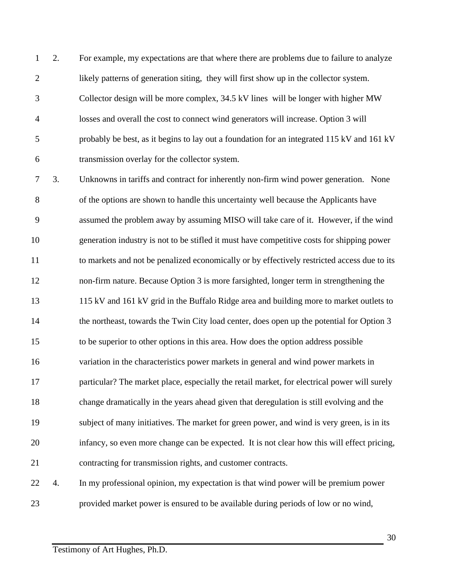2. For example, my expectations are that where there are problems due to failure to analyze likely patterns of generation siting, they will first show up in the collector system. Collector design will be more complex, 34.5 kV lines will be longer with higher MW losses and overall the cost to connect wind generators will increase. Option 3 will probably be best, as it begins to lay out a foundation for an integrated 115 kV and 161 kV transmission overlay for the collector system.

 3. Unknowns in tariffs and contract for inherently non-firm wind power generation. None of the options are shown to handle this uncertainty well because the Applicants have assumed the problem away by assuming MISO will take care of it. However, if the wind generation industry is not to be stifled it must have competitive costs for shipping power to markets and not be penalized economically or by effectively restricted access due to its non-firm nature. Because Option 3 is more farsighted, longer term in strengthening the 115 kV and 161 kV grid in the Buffalo Ridge area and building more to market outlets to 14 the northeast, towards the Twin City load center, does open up the potential for Option 3 to be superior to other options in this area. How does the option address possible variation in the characteristics power markets in general and wind power markets in particular? The market place, especially the retail market, for electrical power will surely change dramatically in the years ahead given that deregulation is still evolving and the subject of many initiatives. The market for green power, and wind is very green, is in its infancy, so even more change can be expected. It is not clear how this will effect pricing, contracting for transmission rights, and customer contracts. 4. In my professional opinion, my expectation is that wind power will be premium power

provided market power is ensured to be available during periods of low or no wind,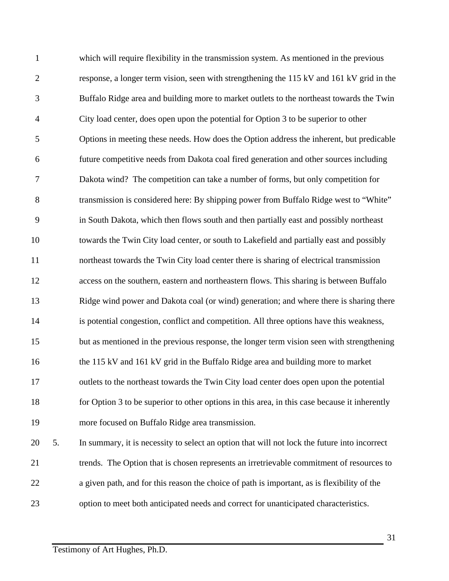which will require flexibility in the transmission system. As mentioned in the previous response, a longer term vision, seen with strengthening the 115 kV and 161 kV grid in the Buffalo Ridge area and building more to market outlets to the northeast towards the Twin City load center, does open upon the potential for Option 3 to be superior to other Options in meeting these needs. How does the Option address the inherent, but predicable future competitive needs from Dakota coal fired generation and other sources including Dakota wind? The competition can take a number of forms, but only competition for transmission is considered here: By shipping power from Buffalo Ridge west to "White" in South Dakota, which then flows south and then partially east and possibly northeast towards the Twin City load center, or south to Lakefield and partially east and possibly northeast towards the Twin City load center there is sharing of electrical transmission access on the southern, eastern and northeastern flows. This sharing is between Buffalo Ridge wind power and Dakota coal (or wind) generation; and where there is sharing there is potential congestion, conflict and competition. All three options have this weakness, but as mentioned in the previous response, the longer term vision seen with strengthening the 115 kV and 161 kV grid in the Buffalo Ridge area and building more to market outlets to the northeast towards the Twin City load center does open upon the potential for Option 3 to be superior to other options in this area, in this case because it inherently more focused on Buffalo Ridge area transmission. 5. In summary, it is necessity to select an option that will not lock the future into incorrect trends. The Option that is chosen represents an irretrievable commitment of resources to a given path, and for this reason the choice of path is important, as is flexibility of the option to meet both anticipated needs and correct for unanticipated characteristics.

Testimony of Art Hughes, Ph.D.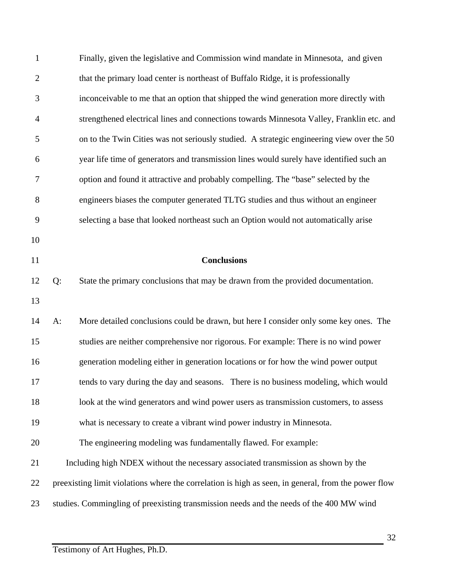| $\mathbf{1}$   |    | Finally, given the legislative and Commission wind mandate in Minnesota, and given                  |
|----------------|----|-----------------------------------------------------------------------------------------------------|
| $\overline{2}$ |    | that the primary load center is northeast of Buffalo Ridge, it is professionally                    |
| 3              |    | inconceivable to me that an option that shipped the wind generation more directly with              |
| $\overline{4}$ |    | strengthened electrical lines and connections towards Minnesota Valley, Franklin etc. and           |
| 5              |    | on to the Twin Cities was not seriously studied. A strategic engineering view over the 50           |
| 6              |    | year life time of generators and transmission lines would surely have identified such an            |
| 7              |    | option and found it attractive and probably compelling. The "base" selected by the                  |
| 8              |    | engineers biases the computer generated TLTG studies and thus without an engineer                   |
| 9              |    | selecting a base that looked northeast such an Option would not automatically arise                 |
| 10             |    |                                                                                                     |
| 11             |    | <b>Conclusions</b>                                                                                  |
| 12             | Q: | State the primary conclusions that may be drawn from the provided documentation.                    |
| 13             |    |                                                                                                     |
| 14             | A: | More detailed conclusions could be drawn, but here I consider only some key ones. The               |
| 15             |    | studies are neither comprehensive nor rigorous. For example: There is no wind power                 |
| 16             |    | generation modeling either in generation locations or for how the wind power output                 |
| 17             |    | tends to vary during the day and seasons. There is no business modeling, which would                |
| 18             |    | look at the wind generators and wind power users as transmission customers, to assess               |
| 19             |    | what is necessary to create a vibrant wind power industry in Minnesota.                             |
| 20             |    | The engineering modeling was fundamentally flawed. For example:                                     |
| 21             |    | Including high NDEX without the necessary associated transmission as shown by the                   |
| 22             |    | preexisting limit violations where the correlation is high as seen, in general, from the power flow |
| 23             |    | studies. Commingling of preexisting transmission needs and the needs of the 400 MW wind             |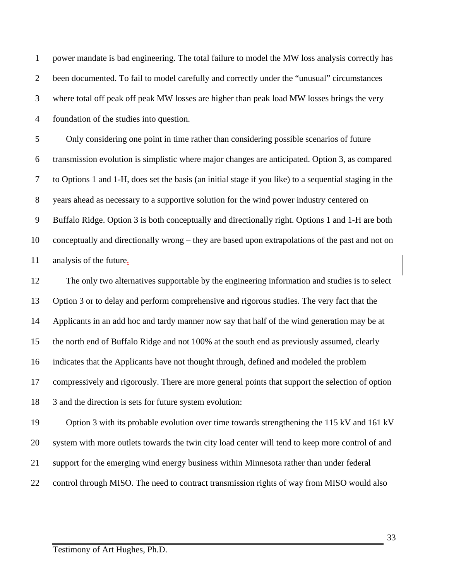power mandate is bad engineering. The total failure to model the MW loss analysis correctly has 2 been documented. To fail to model carefully and correctly under the "unusual" circumstances where total off peak off peak MW losses are higher than peak load MW losses brings the very foundation of the studies into question.

 Only considering one point in time rather than considering possible scenarios of future transmission evolution is simplistic where major changes are anticipated. Option 3, as compared to Options 1 and 1-H, does set the basis (an initial stage if you like) to a sequential staging in the years ahead as necessary to a supportive solution for the wind power industry centered on Buffalo Ridge. Option 3 is both conceptually and directionally right. Options 1 and 1-H are both conceptually and directionally wrong – they are based upon extrapolations of the past and not on analysis of the future.

 The only two alternatives supportable by the engineering information and studies is to select Option 3 or to delay and perform comprehensive and rigorous studies. The very fact that the Applicants in an add hoc and tardy manner now say that half of the wind generation may be at the north end of Buffalo Ridge and not 100% at the south end as previously assumed, clearly indicates that the Applicants have not thought through, defined and modeled the problem compressively and rigorously. There are more general points that support the selection of option 3 and the direction is sets for future system evolution:

 Option 3 with its probable evolution over time towards strengthening the 115 kV and 161 kV system with more outlets towards the twin city load center will tend to keep more control of and support for the emerging wind energy business within Minnesota rather than under federal 22 control through MISO. The need to contract transmission rights of way from MISO would also